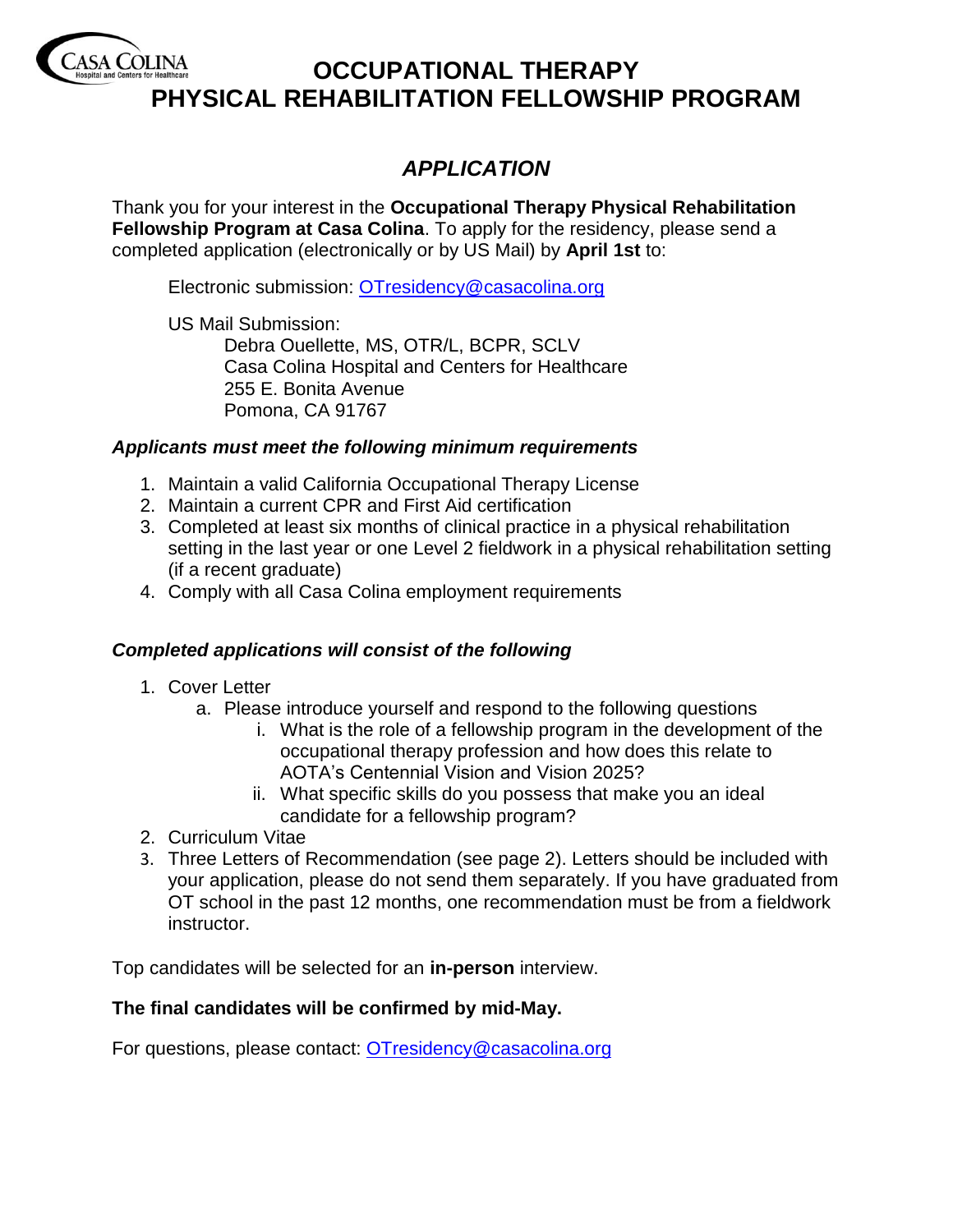

# **OCCUPATIONAL THERAPY PHYSICAL REHABILITATION FELLOWSHIP PROGRAM**

## *APPLICATION*

Thank you for your interest in the **Occupational Therapy Physical Rehabilitation Fellowship Program at Casa Colina**. To apply for the residency, please send a completed application (electronically or by US Mail) by **April 1st** to:

Electronic submission: [OTresidency@casacolina.org](mailto:OTresidency@casacolina.org) 

US Mail Submission:

Debra Ouellette, MS, OTR/L, BCPR, SCLV Casa Colina Hospital and Centers for Healthcare 255 E. Bonita Avenue Pomona, CA 91767

#### *Applicants must meet the following minimum requirements*

- 1. Maintain a valid California Occupational Therapy License
- 2. Maintain a current CPR and First Aid certification
- 3. Completed at least six months of clinical practice in a physical rehabilitation setting in the last year or one Level 2 fieldwork in a physical rehabilitation setting (if a recent graduate)
- 4. Comply with all Casa Colina employment requirements

### *Completed applications will consist of the following*

- 1. Cover Letter
	- a. Please introduce yourself and respond to the following questions
		- i. What is the role of a fellowship program in the development of the occupational therapy profession and how does this relate to AOTA's Centennial Vision and Vision 2025?
		- ii. What specific skills do you possess that make you an ideal candidate for a fellowship program?
- 2. Curriculum Vitae
- 3. Three Letters of Recommendation (see page 2). Letters should be included with your application, please do not send them separately. If you have graduated from OT school in the past 12 months, one recommendation must be from a fieldwork instructor.

Top candidates will be selected for an **in-person** interview.

#### **The final candidates will be confirmed by mid-May.**

For questions, please contact: [OTresidency@casacolina.org](mailto:OTresidency@casacolina.org)